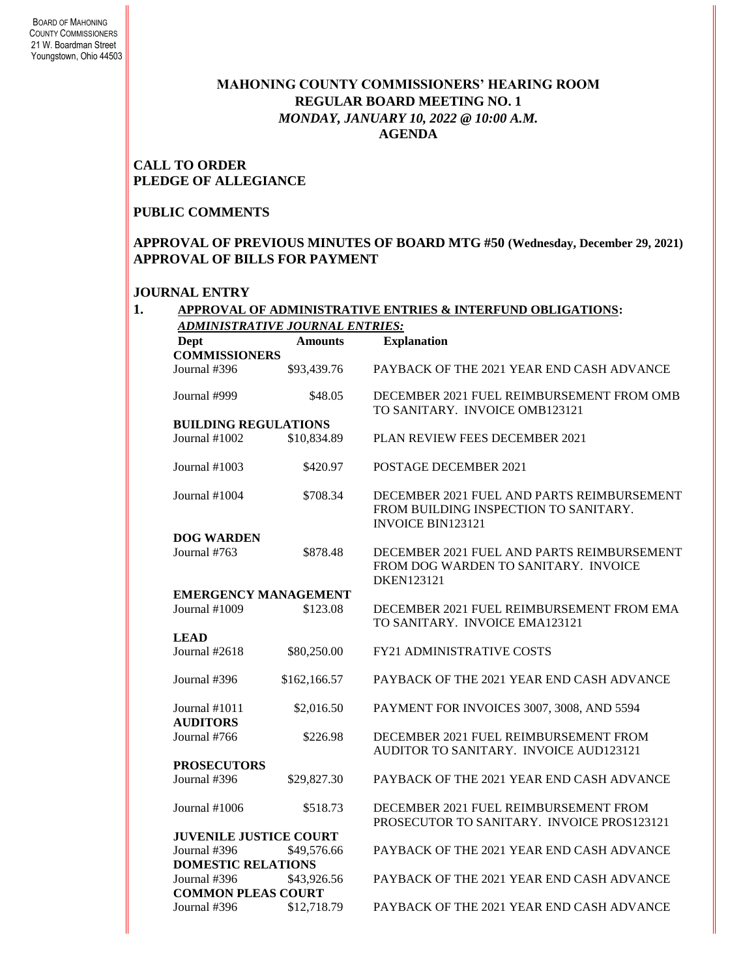# **MAHONING COUNTY COMMISSIONERS' HEARING ROOM REGULAR BOARD MEETING NO. 1** *MONDAY, JANUARY 10, 2022 @ 10:00 A.M.* **AGENDA**

## **CALL TO ORDER PLEDGE OF ALLEGIANCE**

#### **PUBLIC COMMENTS**

### **APPROVAL OF PREVIOUS MINUTES OF BOARD MTG #50 (Wednesday, December 29, 2021) APPROVAL OF BILLS FOR PAYMENT**

#### **JOURNAL ENTRY**

|                               |                             | <b>APPROVAL OF ADMINISTRATIVE ENTRIES &amp; INTERFUND OBLIGATIONS:</b><br><b>ADMINISTRATIVE JOURNAL ENTRIES:</b> |  |  |  |  |
|-------------------------------|-----------------------------|------------------------------------------------------------------------------------------------------------------|--|--|--|--|
| <b>Dept</b>                   | <b>Amounts</b>              | <b>Explanation</b>                                                                                               |  |  |  |  |
| <b>COMMISSIONERS</b>          |                             |                                                                                                                  |  |  |  |  |
| Journal #396                  | \$93,439.76                 | PAYBACK OF THE 2021 YEAR END CASH ADVANCE                                                                        |  |  |  |  |
| Journal #999                  | \$48.05                     | DECEMBER 2021 FUEL REIMBURSEMENT FROM OMB<br>TO SANITARY. INVOICE OMB123121                                      |  |  |  |  |
| <b>BUILDING REGULATIONS</b>   |                             |                                                                                                                  |  |  |  |  |
| Journal $#1002$               | \$10,834.89                 | <b>PLAN REVIEW FEES DECEMBER 2021</b>                                                                            |  |  |  |  |
| Journal $#1003$               | \$420.97                    | <b>POSTAGE DECEMBER 2021</b>                                                                                     |  |  |  |  |
| Journal #1004                 | \$708.34                    | DECEMBER 2021 FUEL AND PARTS REIMBURSEMENT<br>FROM BUILDING INSPECTION TO SANITARY.<br><b>INVOICE BIN123121</b>  |  |  |  |  |
| <b>DOG WARDEN</b>             |                             |                                                                                                                  |  |  |  |  |
| Journal $#763$                | \$878.48                    | DECEMBER 2021 FUEL AND PARTS REIMBURSEMENT<br>FROM DOG WARDEN TO SANITARY. INVOICE<br>DKEN123121                 |  |  |  |  |
|                               | <b>EMERGENCY MANAGEMENT</b> |                                                                                                                  |  |  |  |  |
| Journal $#1009$               | \$123.08                    | DECEMBER 2021 FUEL REIMBURSEMENT FROM EMA<br>TO SANITARY. INVOICE EMA123121                                      |  |  |  |  |
| <b>LEAD</b>                   |                             |                                                                                                                  |  |  |  |  |
| Journal #2618                 | \$80,250.00                 | <b>FY21 ADMINISTRATIVE COSTS</b>                                                                                 |  |  |  |  |
| Journal #396                  | \$162,166.57                | PAYBACK OF THE 2021 YEAR END CASH ADVANCE                                                                        |  |  |  |  |
| Journal #1011                 | \$2,016.50                  | PAYMENT FOR INVOICES 3007, 3008, AND 5594                                                                        |  |  |  |  |
| <b>AUDITORS</b>               |                             |                                                                                                                  |  |  |  |  |
| Journal #766                  | \$226.98                    | DECEMBER 2021 FUEL REIMBURSEMENT FROM<br>AUDITOR TO SANITARY. INVOICE AUD123121                                  |  |  |  |  |
| <b>PROSECUTORS</b>            |                             |                                                                                                                  |  |  |  |  |
| Journal #396                  | \$29,827.30                 | PAYBACK OF THE 2021 YEAR END CASH ADVANCE                                                                        |  |  |  |  |
| Journal $\#1006$              | \$518.73                    | DECEMBER 2021 FUEL REIMBURSEMENT FROM<br>PROSECUTOR TO SANITARY. INVOICE PROS123121                              |  |  |  |  |
| <b>JUVENILE JUSTICE COURT</b> |                             |                                                                                                                  |  |  |  |  |
| Journal #396                  | \$49,576.66                 | PAYBACK OF THE 2021 YEAR END CASH ADVANCE                                                                        |  |  |  |  |
| <b>DOMESTIC RELATIONS</b>     |                             |                                                                                                                  |  |  |  |  |
| Journal #396                  | \$43,926.56                 | PAYBACK OF THE 2021 YEAR END CASH ADVANCE                                                                        |  |  |  |  |
| <b>COMMON PLEAS COURT</b>     |                             |                                                                                                                  |  |  |  |  |
| Journal #396                  | \$12,718.79                 | PAYBACK OF THE 2021 YEAR END CASH ADVANCE                                                                        |  |  |  |  |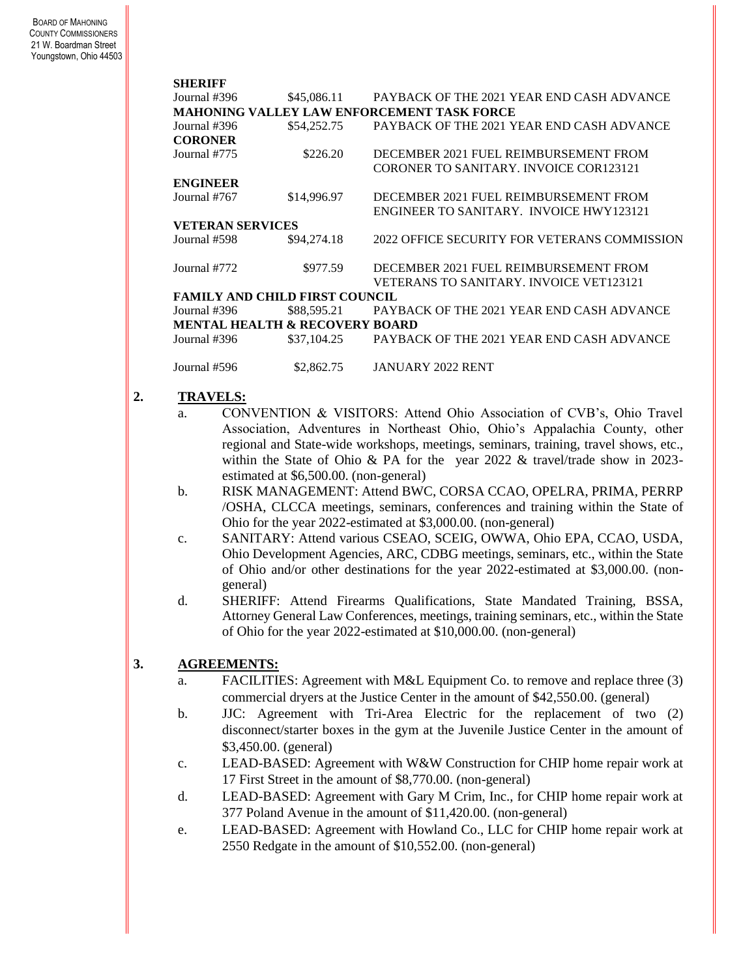| Journal #396                                      | \$45,086.11 | PAYBACK OF THE 2021 YEAR END CASH ADVANCE      |  |  |  |  |
|---------------------------------------------------|-------------|------------------------------------------------|--|--|--|--|
| <b>MAHONING VALLEY LAW ENFORCEMENT TASK FORCE</b> |             |                                                |  |  |  |  |
| Journal #396                                      | \$54,252.75 | PAYBACK OF THE 2021 YEAR END CASH ADVANCE      |  |  |  |  |
| <b>CORONER</b>                                    |             |                                                |  |  |  |  |
| Journal #775                                      | \$226.20    | DECEMBER 2021 FUEL REIMBURSEMENT FROM          |  |  |  |  |
|                                                   |             | CORONER TO SANITARY. INVOICE COR123121         |  |  |  |  |
| <b>ENGINEER</b>                                   |             |                                                |  |  |  |  |
| Journal #767                                      | \$14,996.97 | DECEMBER 2021 FUEL REIMBURSEMENT FROM          |  |  |  |  |
|                                                   |             | ENGINEER TO SANITARY. INVOICE HWY123121        |  |  |  |  |
| VETERAN SERVICES                                  |             |                                                |  |  |  |  |
| Journal #598                                      | \$94,274.18 | 2022 OFFICE SECURITY FOR VETERANS COMMISSION   |  |  |  |  |
|                                                   |             |                                                |  |  |  |  |
| Journal #772                                      | \$977.59    | DECEMBER 2021 FUEL REIMBURSEMENT FROM          |  |  |  |  |
|                                                   |             | <b>VETERANS TO SANITARY. INVOICE VET123121</b> |  |  |  |  |
| <b>FAMILY AND CHILD FIRST COUNCIL</b>             |             |                                                |  |  |  |  |
| Journal #396                                      | \$88,595.21 | PAYBACK OF THE 2021 YEAR END CASH ADVANCE      |  |  |  |  |
| <b>MENTAL HEALTH &amp; RECOVERY BOARD</b>         |             |                                                |  |  |  |  |
| Journal #396                                      | \$37,104.25 | PAYBACK OF THE 2021 YEAR END CASH ADVANCE      |  |  |  |  |
|                                                   |             |                                                |  |  |  |  |
| Journal #596                                      | \$2,862.75  | JANUARY 2022 RENT                              |  |  |  |  |

#### **2. TRAVELS:**

- a. CONVENTION & VISITORS: Attend Ohio Association of CVB's, Ohio Travel Association, Adventures in Northeast Ohio, Ohio's Appalachia County, other regional and State-wide workshops, meetings, seminars, training, travel shows, etc., within the State of Ohio & PA for the year 2022 & travel/trade show in 2023estimated at \$6,500.00. (non-general)
- b. RISK MANAGEMENT: Attend BWC, CORSA CCAO, OPELRA, PRIMA, PERRP /OSHA, CLCCA meetings, seminars, conferences and training within the State of Ohio for the year 2022-estimated at \$3,000.00. (non-general)
- c. SANITARY: Attend various CSEAO, SCEIG, OWWA, Ohio EPA, CCAO, USDA, Ohio Development Agencies, ARC, CDBG meetings, seminars, etc., within the State of Ohio and/or other destinations for the year 2022-estimated at \$3,000.00. (nongeneral)
- d. SHERIFF: Attend Firearms Qualifications, State Mandated Training, BSSA, Attorney General Law Conferences, meetings, training seminars, etc., within the State of Ohio for the year 2022-estimated at \$10,000.00. (non-general)

# **3. AGREEMENTS:**

- a. FACILITIES: Agreement with M&L Equipment Co. to remove and replace three (3) commercial dryers at the Justice Center in the amount of \$42,550.00. (general)
- b. JJC: Agreement with Tri-Area Electric for the replacement of two (2) disconnect/starter boxes in the gym at the Juvenile Justice Center in the amount of \$3,450.00. (general)
- c. LEAD-BASED: Agreement with W&W Construction for CHIP home repair work at 17 First Street in the amount of \$8,770.00. (non-general)
- d. LEAD-BASED: Agreement with Gary M Crim, Inc., for CHIP home repair work at 377 Poland Avenue in the amount of \$11,420.00. (non-general)
- e. LEAD-BASED: Agreement with Howland Co., LLC for CHIP home repair work at 2550 Redgate in the amount of \$10,552.00. (non-general)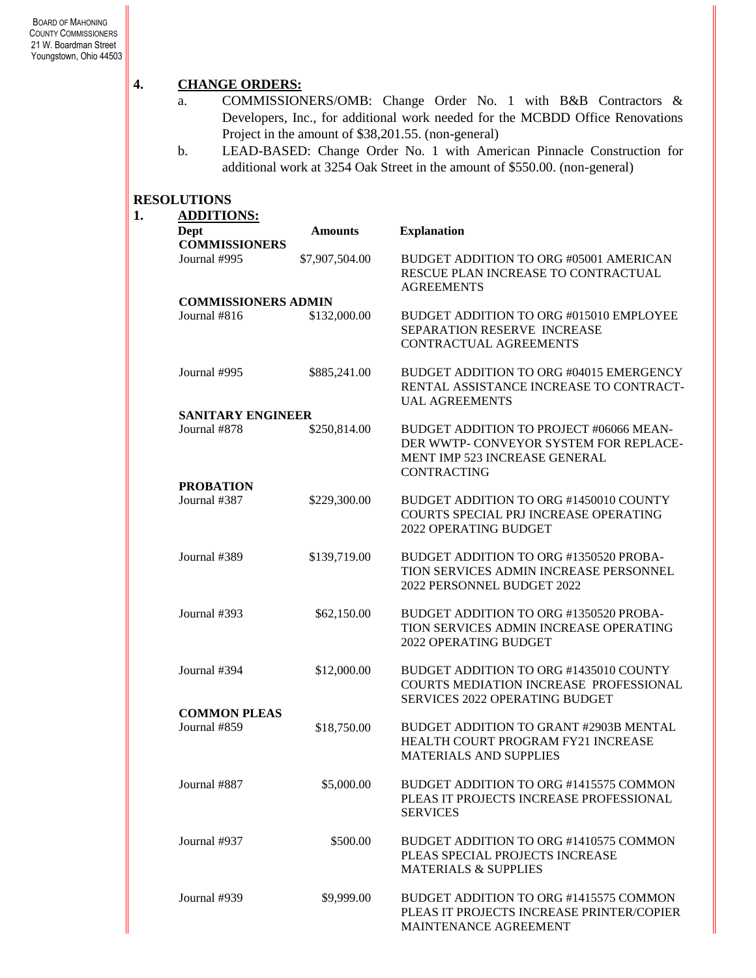# **4. CHANGE ORDERS:**

- a. COMMISSIONERS/OMB: Change Order No. 1 with B&B Contractors & Developers, Inc., for additional work needed for the MCBDD Office Renovations Project in the amount of \$38,201.55. (non-general)
- b. LEAD-BASED: Change Order No. 1 with American Pinnacle Construction for additional work at 3254 Oak Street in the amount of \$550.00. (non-general)

#### **RESOLUTIONS**

| <b>ADDITIONS:</b>          |                |                                                                                                                                          |
|----------------------------|----------------|------------------------------------------------------------------------------------------------------------------------------------------|
| Dept                       | <b>Amounts</b> | <b>Explanation</b>                                                                                                                       |
| <b>COMMISSIONERS</b>       |                |                                                                                                                                          |
| Journal #995               | \$7,907,504.00 | BUDGET ADDITION TO ORG #05001 AMERICAN<br>RESCUE PLAN INCREASE TO CONTRACTUAL<br><b>AGREEMENTS</b>                                       |
| <b>COMMISSIONERS ADMIN</b> |                |                                                                                                                                          |
| Journal #816               | \$132,000.00   | BUDGET ADDITION TO ORG #015010 EMPLOYEE<br>SEPARATION RESERVE INCREASE<br><b>CONTRACTUAL AGREEMENTS</b>                                  |
| Journal #995               | \$885,241.00   | BUDGET ADDITION TO ORG #04015 EMERGENCY<br>RENTAL ASSISTANCE INCREASE TO CONTRACT-<br><b>UAL AGREEMENTS</b>                              |
| <b>SANITARY ENGINEER</b>   |                |                                                                                                                                          |
| Journal #878               | \$250,814.00   | BUDGET ADDITION TO PROJECT #06066 MEAN-<br>DER WWTP- CONVEYOR SYSTEM FOR REPLACE-<br>MENT IMP 523 INCREASE GENERAL<br><b>CONTRACTING</b> |
| <b>PROBATION</b>           |                |                                                                                                                                          |
| Journal #387               | \$229,300.00   | BUDGET ADDITION TO ORG #1450010 COUNTY<br>COURTS SPECIAL PRJ INCREASE OPERATING<br>2022 OPERATING BUDGET                                 |
| Journal #389               | \$139,719.00   | BUDGET ADDITION TO ORG #1350520 PROBA-<br>TION SERVICES ADMIN INCREASE PERSONNEL<br>2022 PERSONNEL BUDGET 2022                           |
| Journal #393               | \$62,150.00    | BUDGET ADDITION TO ORG #1350520 PROBA-<br>TION SERVICES ADMIN INCREASE OPERATING<br>2022 OPERATING BUDGET                                |
| Journal #394               | \$12,000.00    | BUDGET ADDITION TO ORG #1435010 COUNTY<br>COURTS MEDIATION INCREASE PROFESSIONAL<br>SERVICES 2022 OPERATING BUDGET                       |
| <b>COMMON PLEAS</b>        |                |                                                                                                                                          |
| Journal #859               | \$18,750.00    | BUDGET ADDITION TO GRANT #2903B MENTAL<br>HEALTH COURT PROGRAM FY21 INCREASE<br><b>MATERIALS AND SUPPLIES</b>                            |
| Journal #887               | \$5,000.00     | BUDGET ADDITION TO ORG #1415575 COMMON<br>PLEAS IT PROJECTS INCREASE PROFESSIONAL<br><b>SERVICES</b>                                     |
| Journal #937               | \$500.00       | BUDGET ADDITION TO ORG #1410575 COMMON<br>PLEAS SPECIAL PROJECTS INCREASE<br><b>MATERIALS &amp; SUPPLIES</b>                             |
| Journal #939               | \$9,999.00     | BUDGET ADDITION TO ORG #1415575 COMMON<br>PLEAS IT PROJECTS INCREASE PRINTER/COPIER<br>MAINTENANCE AGREEMENT                             |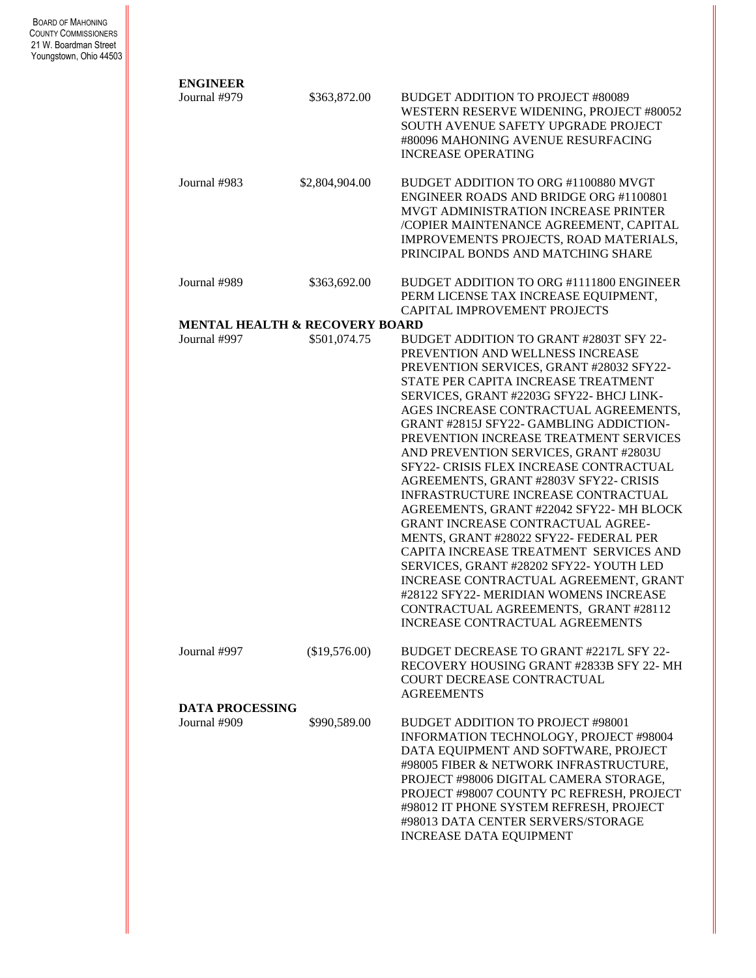| <b>ENGINEER</b>        |                                           |                                                                                                                                                                                                                                                                                                                                                                                                                                                                                                                                                                                                                                                                                                                                                                                                                                                                                                   |
|------------------------|-------------------------------------------|---------------------------------------------------------------------------------------------------------------------------------------------------------------------------------------------------------------------------------------------------------------------------------------------------------------------------------------------------------------------------------------------------------------------------------------------------------------------------------------------------------------------------------------------------------------------------------------------------------------------------------------------------------------------------------------------------------------------------------------------------------------------------------------------------------------------------------------------------------------------------------------------------|
| Journal #979           | \$363,872.00                              | <b>BUDGET ADDITION TO PROJECT #80089</b><br>WESTERN RESERVE WIDENING, PROJECT #80052<br>SOUTH AVENUE SAFETY UPGRADE PROJECT<br>#80096 MAHONING AVENUE RESURFACING<br><b>INCREASE OPERATING</b>                                                                                                                                                                                                                                                                                                                                                                                                                                                                                                                                                                                                                                                                                                    |
| Journal #983           | \$2,804,904.00                            | BUDGET ADDITION TO ORG #1100880 MVGT<br>ENGINEER ROADS AND BRIDGE ORG #1100801<br>MVGT ADMINISTRATION INCREASE PRINTER<br>/COPIER MAINTENANCE AGREEMENT, CAPITAL<br>IMPROVEMENTS PROJECTS, ROAD MATERIALS,<br>PRINCIPAL BONDS AND MATCHING SHARE                                                                                                                                                                                                                                                                                                                                                                                                                                                                                                                                                                                                                                                  |
| Journal #989           | \$363,692.00                              | BUDGET ADDITION TO ORG #1111800 ENGINEER<br>PERM LICENSE TAX INCREASE EQUIPMENT,<br>CAPITAL IMPROVEMENT PROJECTS                                                                                                                                                                                                                                                                                                                                                                                                                                                                                                                                                                                                                                                                                                                                                                                  |
|                        | <b>MENTAL HEALTH &amp; RECOVERY BOARD</b> |                                                                                                                                                                                                                                                                                                                                                                                                                                                                                                                                                                                                                                                                                                                                                                                                                                                                                                   |
| Journal #997           | \$501,074.75                              | BUDGET ADDITION TO GRANT #2803T SFY 22-<br>PREVENTION AND WELLNESS INCREASE<br>PREVENTION SERVICES, GRANT #28032 SFY22-<br>STATE PER CAPITA INCREASE TREATMENT<br>SERVICES, GRANT #2203G SFY22- BHCJ LINK-<br>AGES INCREASE CONTRACTUAL AGREEMENTS,<br>GRANT #2815J SFY22- GAMBLING ADDICTION-<br>PREVENTION INCREASE TREATMENT SERVICES<br>AND PREVENTION SERVICES, GRANT #2803U<br>SFY22- CRISIS FLEX INCREASE CONTRACTUAL<br>AGREEMENTS, GRANT #2803V SFY22- CRISIS<br>INFRASTRUCTURE INCREASE CONTRACTUAL<br>AGREEMENTS, GRANT #22042 SFY22-MH BLOCK<br>GRANT INCREASE CONTRACTUAL AGREE-<br>MENTS, GRANT #28022 SFY22- FEDERAL PER<br>CAPITA INCREASE TREATMENT SERVICES AND<br>SERVICES, GRANT #28202 SFY22- YOUTH LED<br>INCREASE CONTRACTUAL AGREEMENT, GRANT<br>#28122 SFY22- MERIDIAN WOMENS INCREASE<br>CONTRACTUAL AGREEMENTS, GRANT #28112<br><b>INCREASE CONTRACTUAL AGREEMENTS</b> |
| Journal #997           | (\$19,576.00)                             | BUDGET DECREASE TO GRANT #2217L SFY 22-<br>RECOVERY HOUSING GRANT #2833B SFY 22-MH<br>COURT DECREASE CONTRACTUAL<br><b>AGREEMENTS</b>                                                                                                                                                                                                                                                                                                                                                                                                                                                                                                                                                                                                                                                                                                                                                             |
| <b>DATA PROCESSING</b> |                                           |                                                                                                                                                                                                                                                                                                                                                                                                                                                                                                                                                                                                                                                                                                                                                                                                                                                                                                   |
| Journal #909           | \$990,589.00                              | BUDGET ADDITION TO PROJECT #98001<br>INFORMATION TECHNOLOGY, PROJECT #98004<br>DATA EQUIPMENT AND SOFTWARE, PROJECT<br>#98005 FIBER & NETWORK INFRASTRUCTURE,<br>PROJECT #98006 DIGITAL CAMERA STORAGE,<br>PROJECT #98007 COUNTY PC REFRESH, PROJECT<br>#98012 IT PHONE SYSTEM REFRESH, PROJECT<br>#98013 DATA CENTER SERVERS/STORAGE<br><b>INCREASE DATA EQUIPMENT</b>                                                                                                                                                                                                                                                                                                                                                                                                                                                                                                                           |